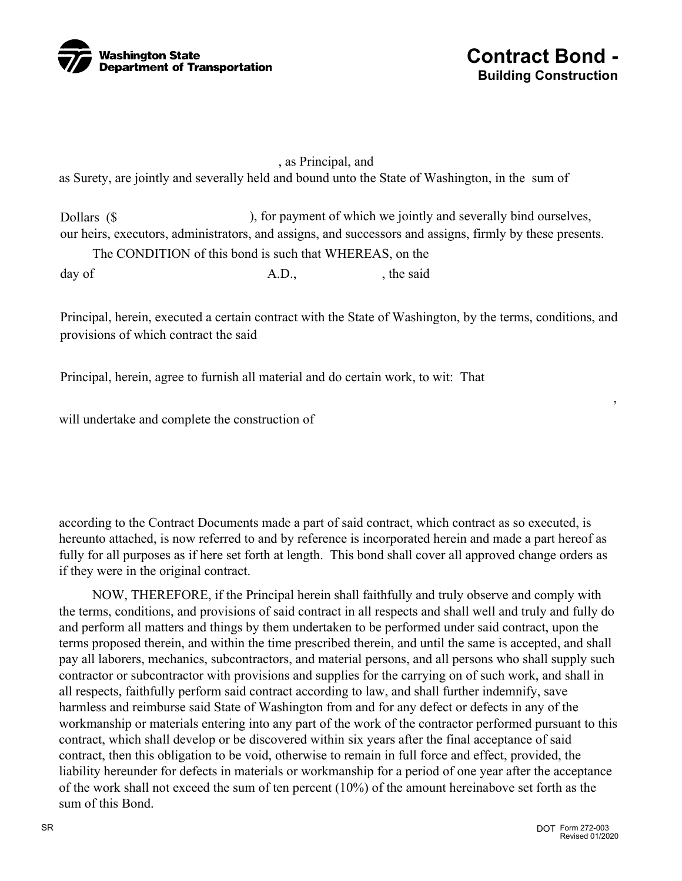



## , as Principal, and as Surety, are jointly and severally held and bound unto the State of Washington, in the sum of

Dollars (\$ ), for payment of which we jointly and severally bind ourselves, our heirs, executors, administrators, and assigns, and successors and assigns, firmly by these presents.

 The CONDITION of this bond is such that WHEREAS, on the day of A.D., the said

Principal, herein, executed a certain contract with the State of Washington, by the terms, conditions, and provisions of which contract the said

Principal, herein, agree to furnish all material and do certain work, to wit: That

will undertake and complete the construction of

according to the Contract Documents made a part of said contract, which contract as so executed, is hereunto attached, is now referred to and by reference is incorporated herein and made a part hereof as fully for all purposes as if here set forth at length. This bond shall cover all approved change orders as if they were in the original contract.

 NOW, THEREFORE, if the Principal herein shall faithfully and truly observe and comply with the terms, conditions, and provisions of said contract in all respects and shall well and truly and fully do and perform all matters and things by them undertaken to be performed under said contract, upon the terms proposed therein, and within the time prescribed therein, and until the same is accepted, and shall pay all laborers, mechanics, subcontractors, and material persons, and all persons who shall supply such contractor or subcontractor with provisions and supplies for the carrying on of such work, and shall in all respects, faithfully perform said contract according to law, and shall further indemnify, save harmless and reimburse said State of Washington from and for any defect or defects in any of the workmanship or materials entering into any part of the work of the contractor performed pursuant to this contract, which shall develop or be discovered within six years after the final acceptance of said contract, then this obligation to be void, otherwise to remain in full force and effect, provided, the liability hereunder for defects in materials or workmanship for a period of one year after the acceptance of the work shall not exceed the sum of ten percent (10%) of the amount hereinabove set forth as the sum of this Bond.

,